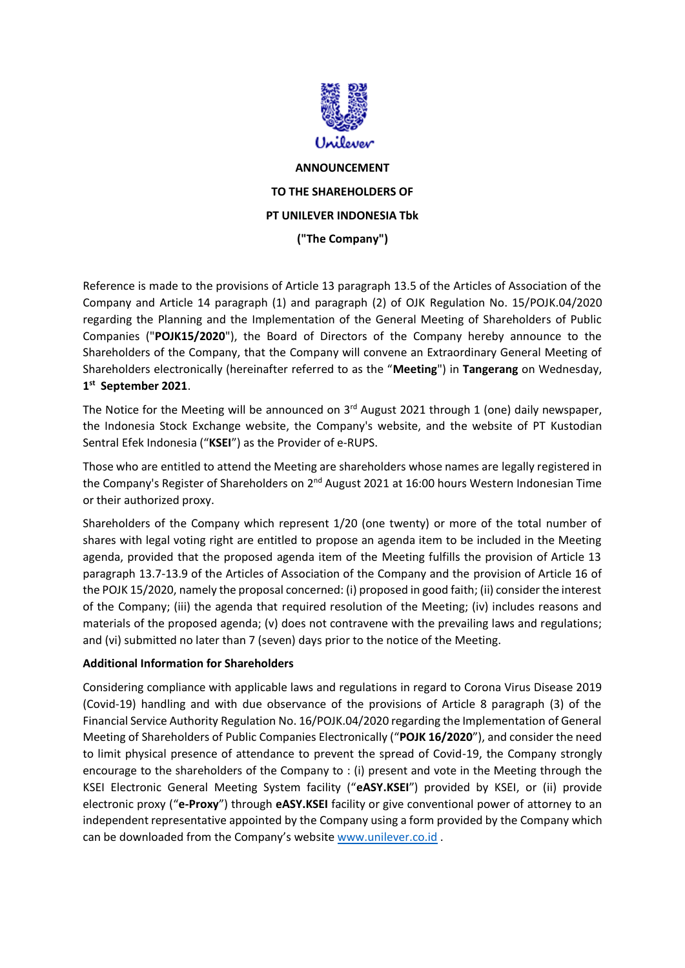

**ANNOUNCEMENT TO THE SHAREHOLDERS OF PT UNILEVER INDONESIA Tbk ("The Company")**

Reference is made to the provisions of Article 13 paragraph 13.5 of the Articles of Association of the Company and Article 14 paragraph (1) and paragraph (2) of OJK Regulation No. 15/POJK.04/2020 regarding the Planning and the Implementation of the General Meeting of Shareholders of Public Companies ("**POJK15/2020**"), the Board of Directors of the Company hereby announce to the Shareholders of the Company, that the Company will convene an Extraordinary General Meeting of Shareholders electronically (hereinafter referred to as the "**Meeting**") in **Tangerang** on Wednesday, **1 st September 2021**.

The Notice for the Meeting will be announced on 3<sup>rd</sup> August 2021 through 1 (one) daily newspaper, the Indonesia Stock Exchange website, the Company's website, and the website of PT Kustodian Sentral Efek Indonesia ("**KSEI**") as the Provider of e-RUPS.

Those who are entitled to attend the Meeting are shareholders whose names are legally registered in the Company's Register of Shareholders on 2<sup>nd</sup> August 2021 at 16:00 hours Western Indonesian Time or their authorized proxy.

Shareholders of the Company which represent 1/20 (one twenty) or more of the total number of shares with legal voting right are entitled to propose an agenda item to be included in the Meeting agenda, provided that the proposed agenda item of the Meeting fulfills the provision of Article 13 paragraph 13.7-13.9 of the Articles of Association of the Company and the provision of Article 16 of the POJK 15/2020, namely the proposal concerned: (i) proposed in good faith; (ii) consider the interest of the Company; (iii) the agenda that required resolution of the Meeting; (iv) includes reasons and materials of the proposed agenda; (v) does not contravene with the prevailing laws and regulations; and (vi) submitted no later than 7 (seven) days prior to the notice of the Meeting.

## **Additional Information for Shareholders**

Considering compliance with applicable laws and regulations in regard to Corona Virus Disease 2019 (Covid-19) handling and with due observance of the provisions of Article 8 paragraph (3) of the Financial Service Authority Regulation No. 16/POJK.04/2020 regarding the Implementation of General Meeting of Shareholders of Public Companies Electronically ("**POJK 16/2020**"), and consider the need to limit physical presence of attendance to prevent the spread of Covid-19, the Company strongly encourage to the shareholders of the Company to : (i) present and vote in the Meeting through the KSEI Electronic General Meeting System facility ("**eASY.KSEI**") provided by KSEI, or (ii) provide electronic proxy ("**e-Proxy**") through **eASY.KSEI** facility or give conventional power of attorney to an independent representative appointed by the Company using a form provided by the Company which can be downloaded from the Company's website [www.unilever.co.id](http://www.unilever.co.id/) .